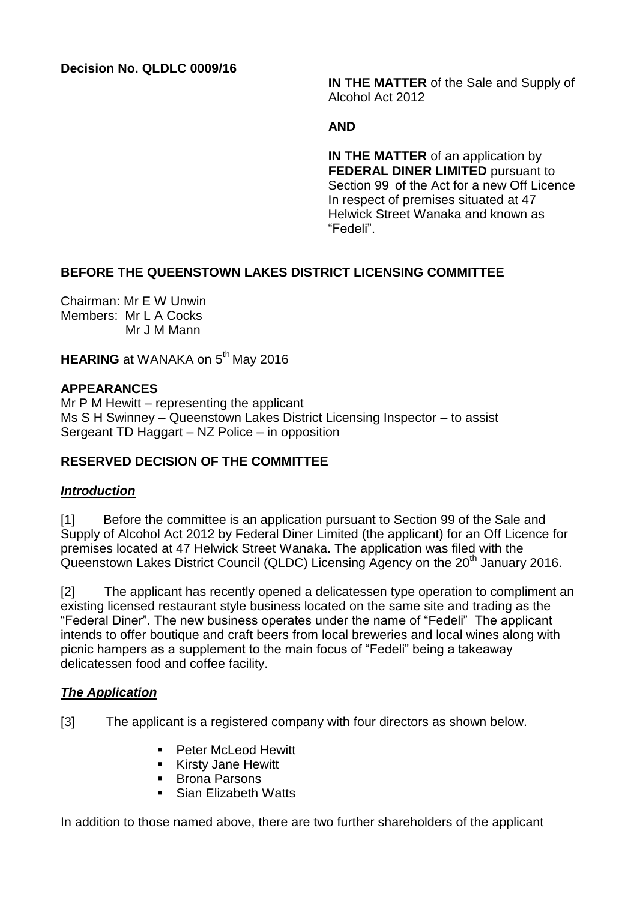**Decision No. QLDLC 0009/16**

**IN THE MATTER** of the Sale and Supply of Alcohol Act 2012

#### **AND**

**IN THE MATTER** of an application by **FEDERAL DINER LIMITED** pursuant to Section 99 of the Act for a new Off Licence In respect of premises situated at 47 Helwick Street Wanaka and known as "Fedeli".

## **BEFORE THE QUEENSTOWN LAKES DISTRICT LICENSING COMMITTEE**

Chairman: Mr E W Unwin Members: Mr L A Cocks Mr J M Mann

**HEARING** at WANAKA on 5<sup>th</sup> May 2016

### **APPEARANCES**

Mr P M Hewitt – representing the applicant Ms S H Swinney – Queenstown Lakes District Licensing Inspector – to assist Sergeant TD Haggart – NZ Police – in opposition

## **RESERVED DECISION OF THE COMMITTEE**

### *Introduction*

[1] Before the committee is an application pursuant to Section 99 of the Sale and Supply of Alcohol Act 2012 by Federal Diner Limited (the applicant) for an Off Licence for premises located at 47 Helwick Street Wanaka. The application was filed with the Queenstown Lakes District Council (QLDC) Licensing Agency on the 20<sup>th</sup> January 2016.

[2] The applicant has recently opened a delicatessen type operation to compliment an existing licensed restaurant style business located on the same site and trading as the "Federal Diner". The new business operates under the name of "Fedeli" The applicant intends to offer boutique and craft beers from local breweries and local wines along with picnic hampers as a supplement to the main focus of "Fedeli" being a takeaway delicatessen food and coffee facility.

### *The Application*

[3] The applicant is a registered company with four directors as shown below.

- **Peter McLeod Hewitt**
- **Kirsty Jane Hewitt**
- Brona Parsons
- Sian Elizabeth Watts

In addition to those named above, there are two further shareholders of the applicant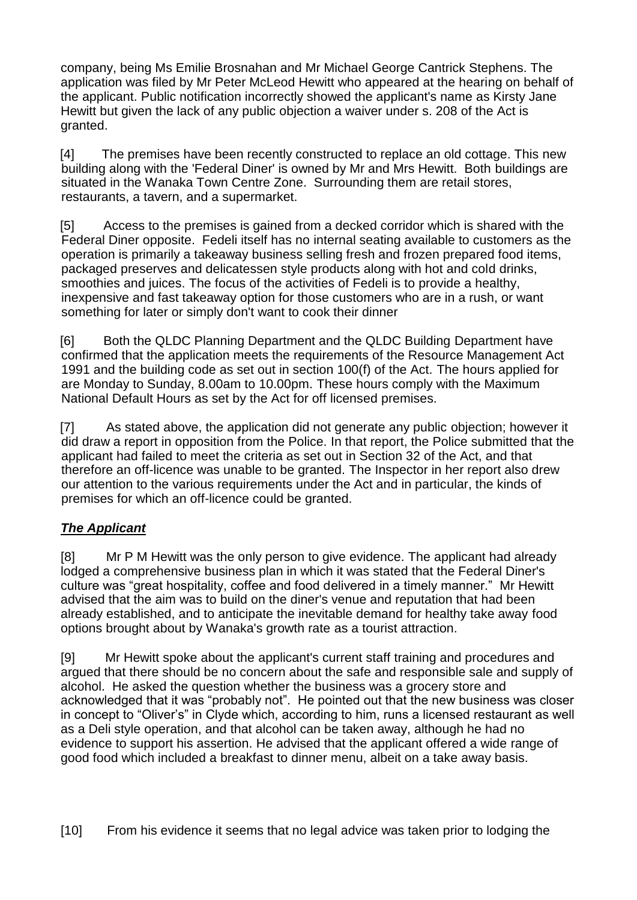company, being Ms Emilie Brosnahan and Mr Michael George Cantrick Stephens. The application was filed by Mr Peter McLeod Hewitt who appeared at the hearing on behalf of the applicant. Public notification incorrectly showed the applicant's name as Kirsty Jane Hewitt but given the lack of any public objection a waiver under s. 208 of the Act is granted.

[4] The premises have been recently constructed to replace an old cottage. This new building along with the 'Federal Diner' is owned by Mr and Mrs Hewitt. Both buildings are situated in the Wanaka Town Centre Zone. Surrounding them are retail stores, restaurants, a tavern, and a supermarket.

[5] Access to the premises is gained from a decked corridor which is shared with the Federal Diner opposite. Fedeli itself has no internal seating available to customers as the operation is primarily a takeaway business selling fresh and frozen prepared food items, packaged preserves and delicatessen style products along with hot and cold drinks, smoothies and juices. The focus of the activities of Fedeli is to provide a healthy, inexpensive and fast takeaway option for those customers who are in a rush, or want something for later or simply don't want to cook their dinner

[6] Both the QLDC Planning Department and the QLDC Building Department have confirmed that the application meets the requirements of the Resource Management Act 1991 and the building code as set out in section 100(f) of the Act. The hours applied for are Monday to Sunday, 8.00am to 10.00pm. These hours comply with the Maximum National Default Hours as set by the Act for off licensed premises.

[7] As stated above, the application did not generate any public objection; however it did draw a report in opposition from the Police. In that report, the Police submitted that the applicant had failed to meet the criteria as set out in Section 32 of the Act, and that therefore an off-licence was unable to be granted. The Inspector in her report also drew our attention to the various requirements under the Act and in particular, the kinds of premises for which an off-licence could be granted.

# *The Applicant*

[8] Mr P M Hewitt was the only person to give evidence. The applicant had already lodged a comprehensive business plan in which it was stated that the Federal Diner's culture was "great hospitality, coffee and food delivered in a timely manner." Mr Hewitt advised that the aim was to build on the diner's venue and reputation that had been already established, and to anticipate the inevitable demand for healthy take away food options brought about by Wanaka's growth rate as a tourist attraction.

[9] Mr Hewitt spoke about the applicant's current staff training and procedures and argued that there should be no concern about the safe and responsible sale and supply of alcohol. He asked the question whether the business was a grocery store and acknowledged that it was "probably not". He pointed out that the new business was closer in concept to "Oliver's" in Clyde which, according to him, runs a licensed restaurant as well as a Deli style operation, and that alcohol can be taken away, although he had no evidence to support his assertion. He advised that the applicant offered a wide range of good food which included a breakfast to dinner menu, albeit on a take away basis.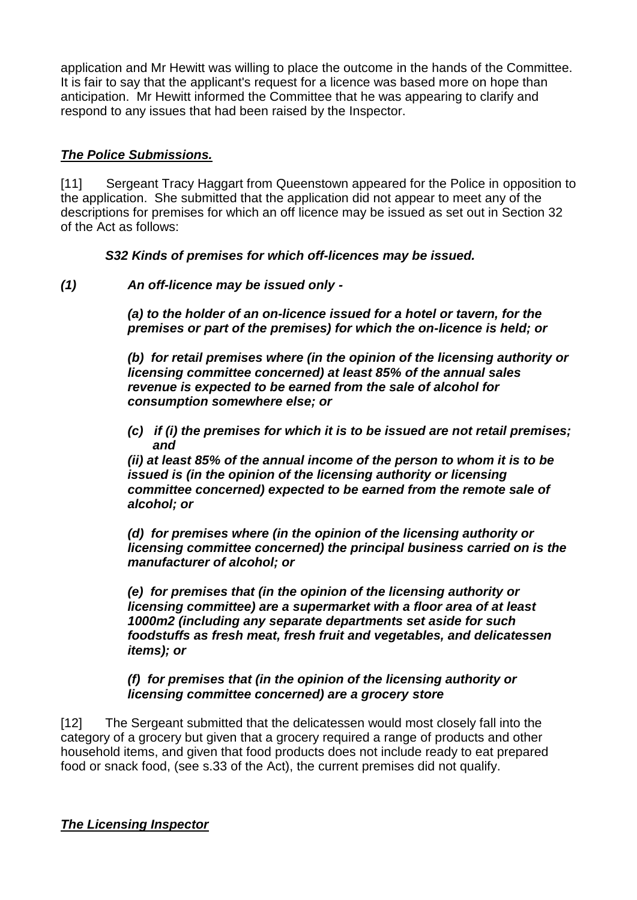application and Mr Hewitt was willing to place the outcome in the hands of the Committee. It is fair to say that the applicant's request for a licence was based more on hope than anticipation. Mr Hewitt informed the Committee that he was appearing to clarify and respond to any issues that had been raised by the Inspector.

### *The Police Submissions.*

[11] Sergeant Tracy Haggart from Queenstown appeared for the Police in opposition to the application. She submitted that the application did not appear to meet any of the descriptions for premises for which an off licence may be issued as set out in Section 32 of the Act as follows:

*S32 Kinds of premises for which off-licences may be issued.*

*(1) An off-licence may be issued only -*

*(a) to the holder of an on-licence issued for a hotel or tavern, for the premises or part of the premises) for which the on-licence is held; or*

*(b) for retail premises where (in the opinion of the licensing authority or licensing committee concerned) at least 85% of the annual sales revenue is expected to be earned from the sale of alcohol for consumption somewhere else; or*

*(c) if (i) the premises for which it is to be issued are not retail premises; and*

*(ii) at least 85% of the annual income of the person to whom it is to be issued is (in the opinion of the licensing authority or licensing committee concerned) expected to be earned from the remote sale of alcohol; or*

*(d) for premises where (in the opinion of the licensing authority or licensing committee concerned) the principal business carried on is the manufacturer of alcohol; or*

*(e) for premises that (in the opinion of the licensing authority or licensing committee) are a supermarket with a floor area of at least 1000m2 (including any separate departments set aside for such foodstuffs as fresh meat, fresh fruit and vegetables, and delicatessen items); or*

*(f) for premises that (in the opinion of the licensing authority or licensing committee concerned) are a grocery store*

[12] The Sergeant submitted that the delicatessen would most closely fall into the category of a grocery but given that a grocery required a range of products and other household items, and given that food products does not include ready to eat prepared food or snack food, (see s.33 of the Act), the current premises did not qualify.

### *The Licensing Inspector*